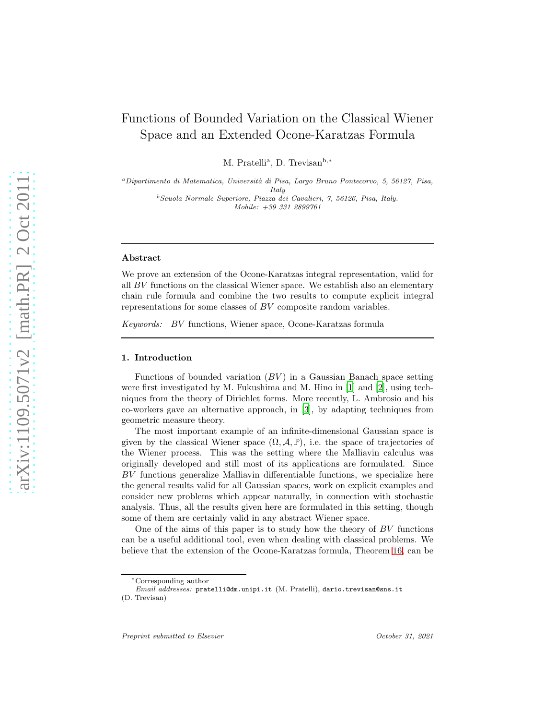# Functions of Bounded Variation on the Classical Wiener Space and an Extended Ocone-Karatzas Formula

M. Pratelli<sup>a</sup>, D. Trevisan<sup>b,\*</sup>

<sup>a</sup>*Dipartimento di Matematica, Universit`a di Pisa, Largo Bruno Pontecorvo, 5, 56127, Pisa, Italy*

<sup>b</sup>*Scuola Normale Superiore, Piazza dei Cavalieri, 7, 56126, Pisa, Italy. Mobile: +39 331 2899761*

### Abstract

We prove an extension of the Ocone-Karatzas integral representation, valid for all BV functions on the classical Wiener space. We establish also an elementary chain rule formula and combine the two results to compute explicit integral representations for some classes of BV composite random variables.

*Keywords:* BV functions, Wiener space, Ocone-Karatzas formula

#### 1. Introduction

Functions of bounded variation  $(BV)$  in a Gaussian Banach space setting were first investigated by M. Fukushima and M. Hino in [\[1\]](#page-19-0) and [\[2\]](#page-19-1), using techniques from the theory of Dirichlet forms. More recently, L. Ambrosio and his co-workers gave an alternative approach, in [\[3](#page-19-2)], by adapting techniques from geometric measure theory.

The most important example of an infinite-dimensional Gaussian space is given by the classical Wiener space  $(\Omega, \mathcal{A}, \mathbb{P})$ , i.e. the space of trajectories of the Wiener process. This was the setting where the Malliavin calculus was originally developed and still most of its applications are formulated. Since BV functions generalize Malliavin differentiable functions, we specialize here the general results valid for all Gaussian spaces, work on explicit examples and consider new problems which appear naturally, in connection with stochastic analysis. Thus, all the results given here are formulated in this setting, though some of them are certainly valid in any abstract Wiener space.

One of the aims of this paper is to study how the theory of  $BV$  functions can be a useful additional tool, even when dealing with classical problems. We believe that the extension of the Ocone-Karatzas formula, Theorem [16,](#page-13-0) can be

<sup>∗</sup>Corresponding author

*Email addresses:* pratelli@dm.unipi.it (M. Pratelli), dario.trevisan@sns.it (D. Trevisan)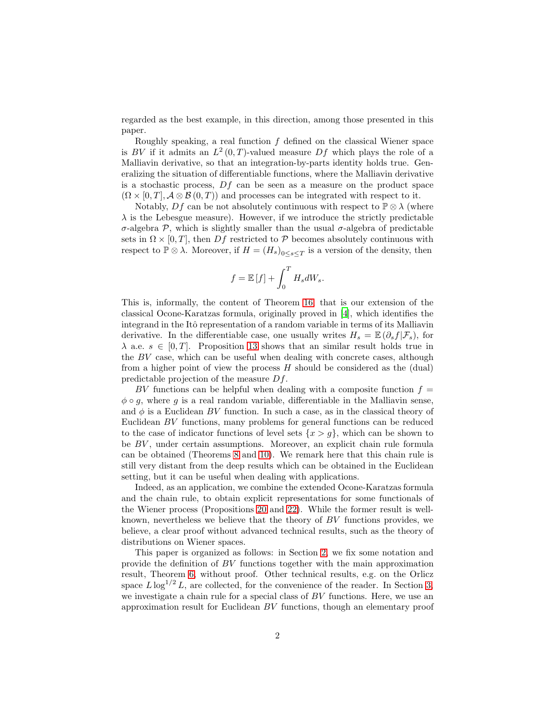regarded as the best example, in this direction, among those presented in this paper.

Roughly speaking, a real function  $f$  defined on the classical Wiener space is BV if it admits an  $L^2(0,T)$ -valued measure Df which plays the role of a Malliavin derivative, so that an integration-by-parts identity holds true. Generalizing the situation of differentiable functions, where the Malliavin derivative is a stochastic process,  $Df$  can be seen as a measure on the product space  $(\Omega \times [0, T], \mathcal{A} \otimes \mathcal{B}(0, T))$  and processes can be integrated with respect to it.

Notably, Df can be not absolutely continuous with respect to  $\mathbb{P}\otimes\lambda$  (where  $\lambda$  is the Lebesgue measure). However, if we introduce the strictly predictable σ-algebra P, which is slightly smaller than the usual σ-algebra of predictable sets in  $\Omega \times [0, T]$ , then Df restricted to P becomes absolutely continuous with respect to  $\mathbb{P}\otimes\lambda$ . Moreover, if  $H = (H_s)_{0 \leq s \leq T}$  is a version of the density, then

$$
f = \mathbb{E}[f] + \int_0^T H_s dW_s.
$$

This is, informally, the content of Theorem [16,](#page-13-0) that is our extension of the classical Ocone-Karatzas formula, originally proved in [\[4\]](#page-19-3), which identifies the integrand in the Itô representation of a random variable in terms of its Malliavin derivative. In the differentiable case, one usually writes  $H_s = \mathbb{E}(\partial_s f | \mathcal{F}_s)$ , for  $\lambda$  a.e.  $s \in [0, T]$ . Proposition [13](#page-12-0) shows that an similar result holds true in the BV case, which can be useful when dealing with concrete cases, although from a higher point of view the process  $H$  should be considered as the (dual) predictable projection of the measure Df.

BV functions can be helpful when dealing with a composite function  $f =$  $\phi \circ q$ , where q is a real random variable, differentiable in the Malliavin sense, and  $\phi$  is a Euclidean BV function. In such a case, as in the classical theory of Euclidean BV functions, many problems for general functions can be reduced to the case of indicator functions of level sets  $\{x > g\}$ , which can be shown to be BV, under certain assumptions. Moreover, an explicit chain rule formula can be obtained (Theorems [8](#page-9-0) and [10\)](#page-10-0). We remark here that this chain rule is still very distant from the deep results which can be obtained in the Euclidean setting, but it can be useful when dealing with applications.

Indeed, as an application, we combine the extended Ocone-Karatzas formula and the chain rule, to obtain explicit representations for some functionals of the Wiener process (Propositions [20](#page-16-0) and [22\)](#page-17-0). While the former result is wellknown, nevertheless we believe that the theory of BV functions provides, we believe, a clear proof without advanced technical results, such as the theory of distributions on Wiener spaces.

This paper is organized as follows: in Section [2,](#page-2-0) we fix some notation and provide the definition of BV functions together with the main approximation result, Theorem [6,](#page-7-0) without proof. Other technical results, e.g. on the Orlicz space  $L \log^{1/2} L$ , are collected, for the convenience of the reader. In Section [3,](#page-7-1) we investigate a chain rule for a special class of BV functions. Here, we use an approximation result for Euclidean BV functions, though an elementary proof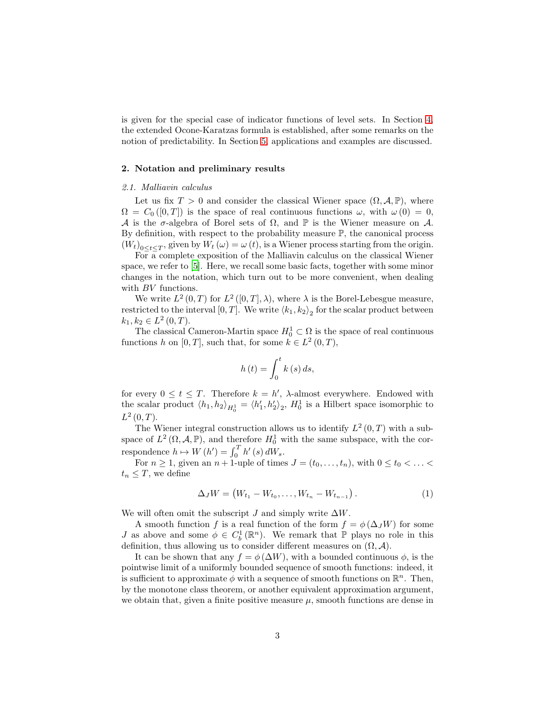is given for the special case of indicator functions of level sets. In Section [4,](#page-11-0) the extended Ocone-Karatzas formula is established, after some remarks on the notion of predictability. In Section [5,](#page-16-1) applications and examples are discussed.

#### <span id="page-2-0"></span>2. Notation and preliminary results

#### *2.1. Malliavin calculus*

Let us fix  $T > 0$  and consider the classical Wiener space  $(\Omega, \mathcal{A}, \mathbb{P})$ , where  $\Omega = C_0 ([0, T])$  is the space of real continuous functions  $\omega$ , with  $\omega(0) = 0$ , A is the  $\sigma$ -algebra of Borel sets of  $\Omega$ , and  $\mathbb P$  is the Wiener measure on A. By definition, with respect to the probability measure  $\mathbb{P}$ , the canonical process  $(W_t)_{0 \leq t \leq T}$ , given by  $W_t(\omega) = \omega(t)$ , is a Wiener process starting from the origin.

For a complete exposition of the Malliavin calculus on the classical Wiener space, we refer to [\[5\]](#page-19-4). Here, we recall some basic facts, together with some minor changes in the notation, which turn out to be more convenient, when dealing with *BV* functions.

We write  $L^2(0,T)$  for  $L^2([0,T],\lambda)$ , where  $\lambda$  is the Borel-Lebesgue measure, restricted to the interval  $[0, T]$ . We write  $\langle k_1, k_2 \rangle$  for the scalar product between  $k_1, k_2 \in L^2(0, T).$ 

The classical Cameron-Martin space  $H_0^1 \subset \Omega$  is the space of real continuous functions h on  $[0, T]$ , such that, for some  $k \in L^2(0, T)$ ,

$$
h\left(t\right) = \int_0^t k\left(s\right) ds,
$$

for every  $0 \le t \le T$ . Therefore  $k = h'$ ,  $\lambda$ -almost everywhere. Endowed with the scalar product  $\langle h_1, h_2 \rangle_{H_0^1} = \langle h_1', h_2' \rangle_2$ ,  $H_0^1$  is a Hilbert space isomorphic to  $L^2(0,T)$ .

The Wiener integral construction allows us to identify  $L^2(0,T)$  with a subspace of  $L^2(\Omega, \mathcal{A}, \mathbb{P})$ , and therefore  $H_0^1$  with the same subspace, with the correspondence  $h \mapsto W(h') = \int_0^T h'(s) dW_s$ .

For  $n \geq 1$ , given an  $n + 1$ -uple of times  $J = (t_0, \ldots, t_n)$ , with  $0 \leq t_0 < \ldots <$  $t_n \leq T$ , we define

<span id="page-2-1"></span>
$$
\Delta_J W = (W_{t_1} - W_{t_0}, \dots, W_{t_n} - W_{t_{n-1}}). \tag{1}
$$

We will often omit the subscript J and simply write  $\Delta W$ .

A smooth function f is a real function of the form  $f = \phi(\Delta_J W)$  for some J as above and some  $\phi \in C_b^1(\mathbb{R}^n)$ . We remark that  $\mathbb P$  plays no role in this definition, thus allowing us to consider different measures on  $(\Omega, \mathcal{A})$ .

It can be shown that any  $f = \phi(\Delta W)$ , with a bounded continuous  $\phi$ , is the pointwise limit of a uniformly bounded sequence of smooth functions: indeed, it is sufficient to approximate  $\phi$  with a sequence of smooth functions on  $\mathbb{R}^n$ . Then, by the monotone class theorem, or another equivalent approximation argument, we obtain that, given a finite positive measure  $\mu$ , smooth functions are dense in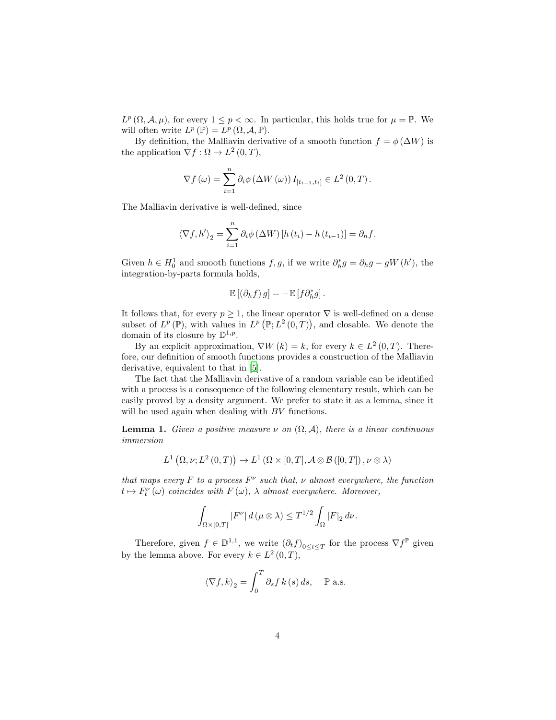$L^p(\Omega, \mathcal{A}, \mu)$ , for every  $1 \leq p < \infty$ . In particular, this holds true for  $\mu = \mathbb{P}$ . We will often write  $L^p(\mathbb{P}) = L^p(\Omega, \mathcal{A}, \mathbb{P}).$ 

By definition, the Malliavin derivative of a smooth function  $f = \phi(\Delta W)$  is the application  $\nabla f : \Omega \to L^2(0,T)$ ,

$$
\nabla f(\omega) = \sum_{i=1}^{n} \partial_i \phi(\Delta W(\omega)) I_{]t_{i-1},t_i]} \in L^2(0,T).
$$

The Malliavin derivative is well-defined, since

$$
\langle \nabla f, h' \rangle_2 = \sum_{i=1}^n \partial_i \phi \left( \Delta W \right) \left[ h \left( t_i \right) - h \left( t_{i-1} \right) \right] = \partial_h f.
$$

Given  $h \in H_0^1$  and smooth functions  $f, g$ , if we write  $\partial_h^* g = \partial_h g - gW(h')$ , the integration-by-parts formula holds,

$$
\mathbb{E}\left[\left(\partial_h f\right)g\right] = -\mathbb{E}\left[f\partial_h^* g\right].
$$

It follows that, for every  $p \geq 1$ , the linear operator  $\nabla$  is well-defined on a dense subset of  $L^p(\mathbb{P})$ , with values in  $L^p(\mathbb{P}; L^2(0,T))$ , and closable. We denote the domain of its closure by  $\mathbb{D}^{1,p}$ .

By an explicit approximation,  $\nabla W(k) = k$ , for every  $k \in L^2(0,T)$ . Therefore, our definition of smooth functions provides a construction of the Malliavin derivative, equivalent to that in [\[5\]](#page-19-4).

The fact that the Malliavin derivative of a random variable can be identified with a process is a consequence of the following elementary result, which can be easily proved by a density argument. We prefer to state it as a lemma, since it will be used again when dealing with BV functions.

<span id="page-3-0"></span>**Lemma 1.** *Given a positive measure*  $\nu$  *on*  $(\Omega, \mathcal{A})$ *, there is a linear continuous immersion*

$$
L^1(\Omega, \nu; L^2(0,T)) \to L^1(\Omega \times [0,T], \mathcal{A} \otimes \mathcal{B}([0,T]), \nu \otimes \lambda)
$$

*that maps every*  $F$  *to a process*  $F^{\nu}$  *such that,*  $\nu$  *almost everywhere, the function*  $t \mapsto F_t^{\nu}(\omega)$  *coincides with*  $F(\omega)$ ,  $\lambda$  *almost everywhere. Moreover,* 

$$
\int_{\Omega\times[0,T]}|F^{\nu}|\,d\,(\mu\otimes\lambda)\leq T^{1/2}\int_{\Omega}|F|_{2}\,d\nu.
$$

Therefore, given  $f \in \mathbb{D}^{1,1}$ , we write  $(\partial_t f)_{0 \le t \le T}$  for the process  $\nabla f^{\mathbb{P}}$  given by the lemma above. For every  $k \in L^2(0,T)$ ,

$$
\langle \nabla f, k \rangle_2 = \int_0^T \partial_s f \, k \, (s) \, ds, \quad \mathbb{P} \text{ a.s.}
$$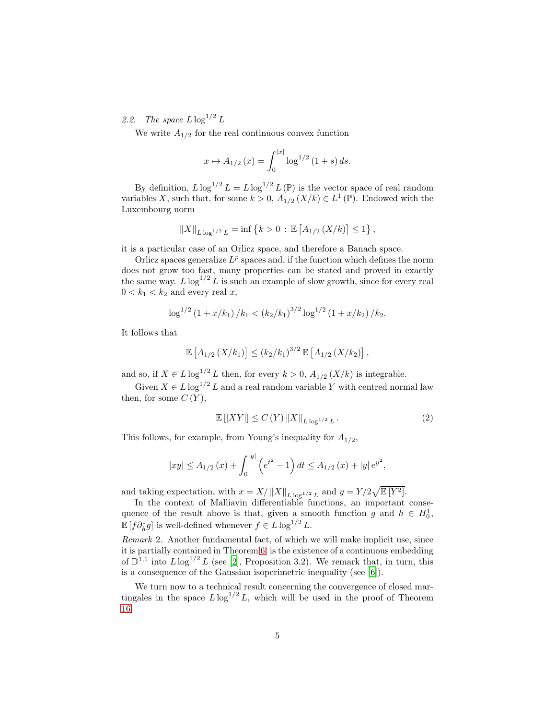2.2. The space  $L \log^{1/2} L$ 

We write  $A_{1/2}$  for the real continuous convex function

$$
x \mapsto A_{1/2}(x) = \int_0^{|x|} \log^{1/2} (1+s) \, ds.
$$

By definition,  $L \log^{1/2} L = L \log^{1/2} L (\mathbb{P})$  is the vector space of real random variables X, such that, for some  $k > 0$ ,  $A_{1/2} (X/k) \in L^1(\mathbb{P})$ . Endowed with the Luxembourg norm

$$
||X||_{L \log^{1/2} L} = \inf \left\{ k > 0 : \mathbb{E} \left[ A_{1/2} \left( X/k \right) \right] \leq 1 \right\},\,
$$

it is a particular case of an Orlicz space, and therefore a Banach space.

Orlicz spaces generalize  $L^p$  spaces and, if the function which defines the norm does not grow too fast, many properties can be stated and proved in exactly the same way.  $L \log^{1/2} L$  is such an example of slow growth, since for every real  $0 < k_1 < k_2$  and every real x,

$$
\log^{1/2} \left(1 + \frac{x}{k_1}\right) / k_1 < \left(k_2 / k_1\right)^{3/2} \log^{1/2} \left(1 + \frac{x}{k_2}\right) / k_2.
$$

It follows that

$$
\mathbb{E}\left[A_{1/2}\left(X/k_1\right)\right] \le (k_2/k_1)^{3/2} \mathbb{E}\left[A_{1/2}\left(X/k_2\right)\right],
$$

and so, if  $X \in L \log^{1/2} L$  then, for every  $k > 0$ ,  $A_{1/2} (X/k)$  is integrable.

Given  $X \in L \log^{1/2} L$  and a real random variable Y with centred normal law then, for some  $C(Y)$ ,

<span id="page-4-1"></span>
$$
\mathbb{E}\left[\left|XY\right|\right] \le C\left(Y\right) \left\|X\right\|_{L\log^{1/2} L}.
$$
\n(2)

This follows, for example, from Young's inequality for  $A_{1/2}$ ,

$$
|xy| \le A_{1/2}(x) + \int_0^{|y|} (e^{t^2} - 1) dt \le A_{1/2}(x) + |y| e^{y^2},
$$

and taking expectation, with  $x = X / ||X||_{L \log^{1/2} L}$  and  $y = Y / 2 \sqrt{\mathbb{E}[Y^2]}$ .

In the context of Malliavin differentiable functions, an important consequence of the result above is that, given a smooth function g and  $h \in H_0^1$ ,  $\mathbb{E}[f\partial_h^* g]$  is well-defined whenever  $f \in L \log^{1/2} L$ .

<span id="page-4-0"></span>*Remark* 2*.* Another fundamental fact, of which we will make implicit use, since it is partially contained in Theorem [6,](#page-7-0) is the existence of a continuous embedding of  $\mathbb{D}^{1,1}$  into  $L \log^{1/2} L$  (see [\[2\]](#page-19-1), Proposition 3.2). We remark that, in turn, this is a consequence of the Gaussian isoperimetric inequality (see [6]).

We turn now to a technical result concerning the convergence of closed martingales in the space  $L \log^{1/2} L$ , which will be used in the proof of Theorem [16.](#page-13-0)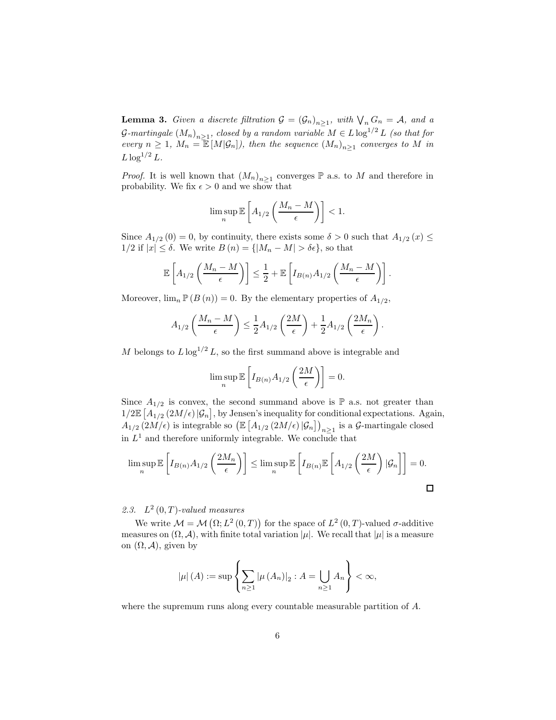<span id="page-5-0"></span>**Lemma 3.** *Given a discrete filtration*  $G = (G_n)_{n \geq 1}$ *, with*  $\bigvee_n G_n = A$ *, and a*  $\mathcal{G}\text{-}martingale (M_n)_{n\geq 1}$ , closed by a random variable  $M \in L \log^{1/2} L$  (so that for *every*  $n \geq 1$ ,  $M_n = \mathbb{E}[M|\mathcal{G}_n]$ , then the sequence  $(M_n)_{n \geq 1}$  converges to M in  $L \log^{1/2} L$ .

*Proof.* It is well known that  $(M_n)_{n\geq 1}$  converges  $\mathbb P$  a.s. to M and therefore in probability. We fix  $\epsilon > 0$  and we show that

$$
\limsup_n \mathbb{E}\left[ A_{1/2}\left(\frac{M_n-M}{\epsilon}\right)\right] < 1.
$$

Since  $A_{1/2}(0) = 0$ , by continuity, there exists some  $\delta > 0$  such that  $A_{1/2}(x) \leq$  $1/2$  if  $|x| \leq \delta$ . We write  $B(n) = \{ |M_n - M| > \delta \epsilon \}$ , so that

$$
\mathbb{E}\left[A_{1/2}\left(\frac{M_n-M}{\epsilon}\right)\right] \leq \frac{1}{2} + \mathbb{E}\left[I_{B(n)}A_{1/2}\left(\frac{M_n-M}{\epsilon}\right)\right].
$$

Moreover,  $\lim_{n} \mathbb{P}(B(n)) = 0$ . By the elementary properties of  $A_{1/2}$ ,

$$
A_{1/2}\left(\frac{M_n-M}{\epsilon}\right) \leq \frac{1}{2}A_{1/2}\left(\frac{2M}{\epsilon}\right) + \frac{1}{2}A_{1/2}\left(\frac{2M_n}{\epsilon}\right).
$$

M belongs to  $L \log^{1/2} L$ , so the first summand above is integrable and

$$
\limsup_{n} \mathbb{E}\left[I_{B(n)}A_{1/2}\left(\frac{2M}{\epsilon}\right)\right] = 0.
$$

Since  $A_{1/2}$  is convex, the second summand above is  $\mathbb P$  a.s. not greater than  $1/2\mathbb{E}\left[A_{1/2}\left(2M/\epsilon\right)|\mathcal{G}_n\right]$ , by Jensen's inequality for conditional expectations. Again,  $A_{1/2}$   $(2M/\epsilon)$  is integrable so  $(\mathbb{E} [A_{1/2} (2M/\epsilon) | \mathcal{G}_n])_{n \geq 1}$  is a  $\mathcal{G}$ -martingale closed in  $L^1$  and therefore uniformly integrable. We conclude that

$$
\limsup_{n} \mathbb{E}\left[I_{B(n)}A_{1/2}\left(\frac{2M_n}{\epsilon}\right)\right] \le \limsup_{n} \mathbb{E}\left[I_{B(n)}\mathbb{E}\left[A_{1/2}\left(\frac{2M}{\epsilon}\right)|\mathcal{G}_n\right]\right] = 0.
$$

# 2.3.  $L^2(0,T)$ -valued measures

We write  $\mathcal{M} = \mathcal{M}(\Omega; L^2(0,T))$  for the space of  $L^2(0,T)$ -valued  $\sigma$ -additive measures on  $(\Omega, \mathcal{A})$ , with finite total variation  $|\mu|$ . We recall that  $|\mu|$  is a measure on  $(\Omega, \mathcal{A})$ , given by

$$
|\mu|(A) := \sup \left\{ \sum_{n \ge 1} |\mu(A_n)|_2 : A = \bigcup_{n \ge 1} A_n \right\} < \infty,
$$

where the supremum runs along every countable measurable partition of A.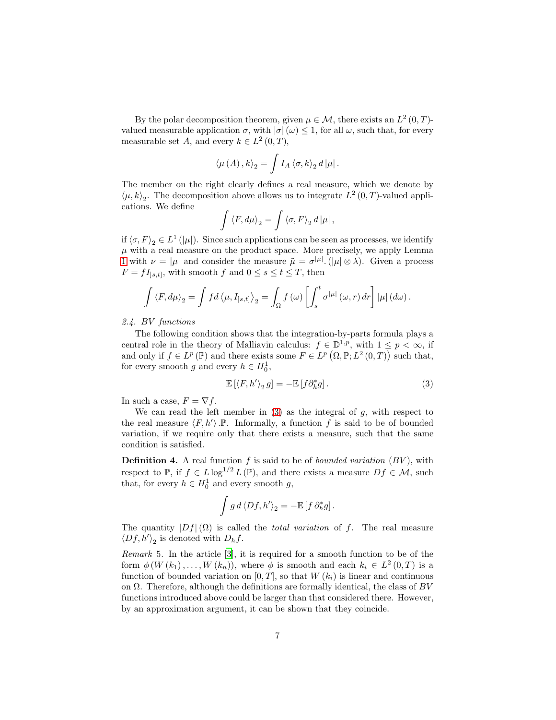By the polar decomposition theorem, given  $\mu \in \mathcal{M}$ , there exists an  $L^2(0,T)$ valued measurable application  $\sigma$ , with  $|\sigma|(\omega) \leq 1$ , for all  $\omega$ , such that, for every measurable set A, and every  $k \in L^2(0,T)$ ,

$$
\langle \mu\left(A\right),k\rangle_{2}=\int I_{A}\left\langle \sigma,k\right\rangle_{2}d\left|\mu\right|.
$$

The member on the right clearly defines a real measure, which we denote by  $\langle \mu, k \rangle_2$ . The decomposition above allows us to integrate  $L^2(0,T)$ -valued applications. We define

$$
\int \langle F, d\mu \rangle_2 = \int \langle \sigma, F \rangle_2 d|\mu|,
$$

if  $\langle \sigma, F \rangle_2 \in L^1(|\mu|)$ . Since such applications can be seen as processes, we identify  $\mu$  with a real measure on the product space. More precisely, we apply Lemma [1](#page-3-0) with  $\nu = |\mu|$  and consider the measure  $\tilde{\mu} = \sigma^{|\mu|} \cdot (|\mu| \otimes \lambda)$ . Given a process  $F = fI_{]s,t]}$ , with smooth f and  $0 \leq s \leq t \leq T$ , then

$$
\int \langle F, d\mu \rangle_2 = \int f d \langle \mu, I_{s,t} \rangle_2 = \int_{\Omega} f(\omega) \left[ \int_s^t \sigma^{|\mu|}(\omega, r) dr \right] |\mu| (d\omega).
$$

*2.4.* BV *functions*

The following condition shows that the integration-by-parts formula plays a central role in the theory of Malliavin calculus:  $f \in \mathbb{D}^{1,p}$ , with  $1 \leq p < \infty$ , if and only if  $f \in L^p(\mathbb{P})$  and there exists some  $F \in L^p(\Omega, \mathbb{P}; L^2(0,T))$  such that, for every smooth g and every  $h \in H_0^1$ ,

<span id="page-6-0"></span>
$$
\mathbb{E}\left[\langle F, h'\rangle_2 g\right] = -\mathbb{E}\left[f\partial_h^* g\right].\tag{3}
$$

In such a case,  $F = \nabla f$ .

We can read the left member in  $(3)$  as the integral of g, with respect to the real measure  $\langle F, h' \rangle$ . P. Informally, a function f is said to be of bounded variation, if we require only that there exists a measure, such that the same condition is satisfied.

Definition 4. A real function f is said to be of *bounded variation* (BV ), with respect to P, if  $f \in L \log^{1/2} L (\mathbb{P})$ , and there exists a measure  $Df \in \mathcal{M}$ , such that, for every  $h \in H_0^1$  and every smooth g,

$$
\int g \, d \langle Df, h' \rangle_2 = - \mathbb{E} \left[ f \, \partial_h^* g \right].
$$

The quantity  $|Df|(\Omega)$  is called the *total variation* of f. The real measure  $\langle Df, h' \rangle_2$  is denoted with  $D_h f$ .

*Remark* 5*.* In the article [\[3\]](#page-19-2), it is required for a smooth function to be of the form  $\phi(W(k_1),...,W(k_n))$ , where  $\phi$  is smooth and each  $k_i \in L^2(0,T)$  is a function of bounded variation on  $[0, T]$ , so that  $W(k<sub>i</sub>)$  is linear and continuous on  $\Omega$ . Therefore, although the definitions are formally identical, the class of BV functions introduced above could be larger than that considered there. However, by an approximation argument, it can be shown that they coincide.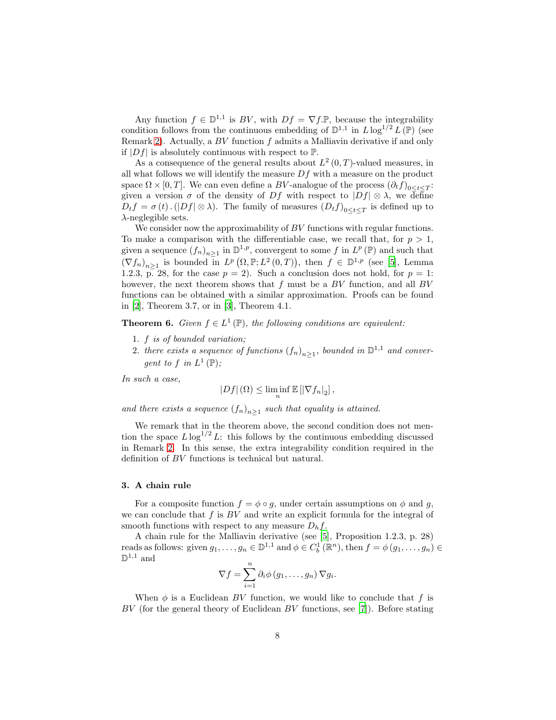Any function  $f \in \mathbb{D}^{1,1}$  is  $BV$ , with  $Df = \nabla f \cdot \mathbb{P}$ , because the integrability condition follows from the continuous embedding of  $\mathbb{D}^{1,1}$  in  $L \log^{1/2} L(\mathbb{P})$  (see Remark [2\)](#page-4-0). Actually, a  $BV$  function  $f$  admits a Malliavin derivative if and only if  $|Df|$  is absolutely continuous with respect to  $\mathbb{P}$ .

As a consequence of the general results about  $L^2(0,T)$ -valued measures, in all what follows we will identify the measure  $Df$  with a measure on the product space  $\Omega \times [0, T]$ . We can even define a BV-analogue of the process  $(\partial_t f)_{0 \le t \le T}$ : given a version  $\sigma$  of the density of Df with respect to  $|Df| \otimes \lambda$ , we define  $D_t f = \sigma(t) \cdot (|Df| \otimes \lambda)$ . The family of measures  $(D_t f)_{0 \le t \le T}$  is defined up to  $\lambda$ -neglegible sets.

We consider now the approximability of  $BV$  functions with regular functions. To make a comparison with the differentiable case, we recall that, for  $p > 1$ , given a sequence  $(f_n)_{n\geq 1}$  in  $\mathbb{D}^{1,p}$ , convergent to some f in  $L^p(\mathbb{P})$  and such that  $(\nabla f_n)_{n\geq 1}$  is bounded in  $L^p\left(\Omega, \mathbb{P}; L^2(0,T)\right)$ , then  $f \in \mathbb{D}^{1,p}$  (see [\[5\]](#page-19-4), Lemma 1.2.3, p. 28, for the case  $p = 2$ ). Such a conclusion does not hold, for  $p = 1$ : however, the next theorem shows that  $f$  must be a  $BV$  function, and all  $BV$ functions can be obtained with a similar approximation. Proofs can be found in [\[2](#page-19-1)], Theorem 3.7, or in [\[3\]](#page-19-2), Theorem 4.1.

<span id="page-7-0"></span>**Theorem 6.** *Given*  $f \in L^1(\mathbb{P})$ *, the following conditions are equivalent:* 

- 1. f *is of bounded variation;*
- 2. *there exists a sequence of functions*  $(f_n)_{n\geq 1}$ , *bounded in*  $\mathbb{D}^{1,1}$  *and convergent to*  $f$  *in*  $L^1(\mathbb{P})$ *;*

*In such a case,*

$$
|Df|(\Omega) \leq \liminf_{n} \mathbb{E} [|\nabla f_n|_2],
$$

*and there exists a sequence*  $(f_n)_{n\geq 1}$  *such that equality is attained.* 

We remark that in the theorem above, the second condition does not mention the space  $L \log^{1/2} L$ : this follows by the continuous embedding discussed in Remark [2.](#page-4-0) In this sense, the extra integrability condition required in the definition of BV functions is technical but natural.

#### <span id="page-7-1"></span>3. A chain rule

For a composite function  $f = \phi \circ g$ , under certain assumptions on  $\phi$  and g, we can conclude that  $f$  is  $BV$  and write an explicit formula for the integral of smooth functions with respect to any measure  $D<sub>h</sub>f$ .

A chain rule for the Malliavin derivative (see [\[5](#page-19-4)], Proposition 1.2.3, p. 28) reads as follows: given  $g_1, \ldots, g_n \in \mathbb{D}^{1,1}$  and  $\phi \in C_b^1(\mathbb{R}^n)$ , then  $f = \phi(g_1, \ldots, g_n) \in$  $\mathbb{D}^{1,1}$  and

$$
\nabla f = \sum_{i=1}^n \partial_i \phi(g_1, \dots, g_n) \nabla g_i.
$$

When  $\phi$  is a Euclidean BV function, we would like to conclude that f is  $BV$  (for the general theory of Euclidean  $BV$  functions, see [\[7](#page-19-5)]). Before stating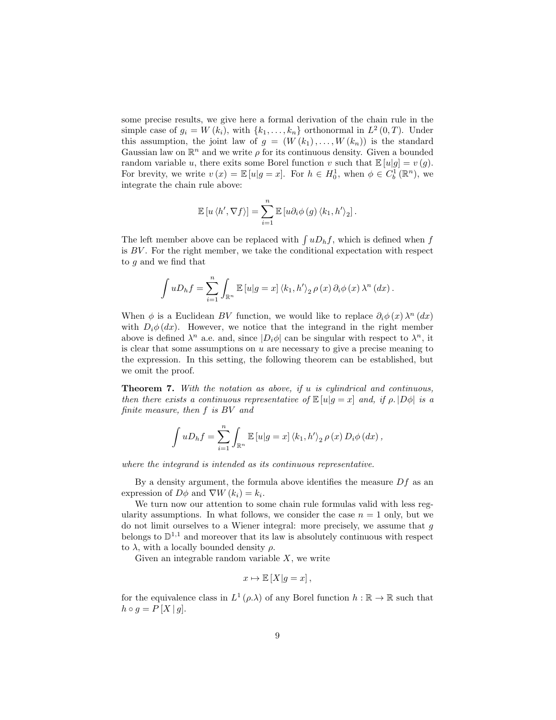some precise results, we give here a formal derivation of the chain rule in the simple case of  $g_i = W(k_i)$ , with  $\{k_1, \ldots, k_n\}$  orthonormal in  $L^2(0,T)$ . Under this assumption, the joint law of  $g = (W(k_1), \ldots, W(k_n))$  is the standard Gaussian law on  $\mathbb{R}^n$  and we write  $\rho$  for its continuous density. Given a bounded random variable u, there exits some Borel function v such that  $\mathbb{E}[u|g] = v(g)$ . For brevity, we write  $v(x) = \mathbb{E}[u|g=x]$ . For  $h \in H_0^1$ , when  $\phi \in C_b^1(\mathbb{R}^n)$ , we integrate the chain rule above:

$$
\mathbb{E}\left[u\left\langle h',\nabla f\right\rangle\right]=\sum_{i=1}^n\mathbb{E}\left[u\partial_i\phi\left(g\right)\left\langle k_1,h'\right\rangle_2\right].
$$

The left member above can be replaced with  $\int uD_hf$ , which is defined when f is  $BV$ . For the right member, we take the conditional expectation with respect to g and we find that

$$
\int uD_hf = \sum_{i=1}^n \int_{\mathbb{R}^n} \mathbb{E}\left[u|g=x\right] \langle k_1, h'\rangle_2 \rho(x) \partial_i \phi(x) \lambda^n(dx).
$$

When  $\phi$  is a Euclidean BV function, we would like to replace  $\partial_i \phi(x) \lambda^n(dx)$ with  $D_i \phi(dx)$ . However, we notice that the integrand in the right member above is defined  $\lambda^n$  a.e. and, since  $|D_i \phi|$  can be singular with respect to  $\lambda^n$ , it is clear that some assumptions on  $u$  are necessary to give a precise meaning to the expression. In this setting, the following theorem can be established, but we omit the proof.

Theorem 7. *With the notation as above, if* u *is cylindrical and continuous, then there exists a continuous representative of*  $\mathbb{E}[u|g=x]$  *and, if*  $\rho$ .  $|D\phi|$  *is a finite measure, then* f *is* BV *and*

$$
\int uD_hf = \sum_{i=1}^n \int_{\mathbb{R}^n} \mathbb{E}\left[u|g=x\right] \langle k_1, h'\rangle_2 \, \rho\left(x\right) D_i\phi\left(dx\right),
$$

*where the integrand is intended as its continuous representative.*

By a density argument, the formula above identifies the measure  $Df$  as an expression of  $D\phi$  and  $\nabla W(k_i) = k_i$ .

We turn now our attention to some chain rule formulas valid with less regularity assumptions. In what follows, we consider the case  $n = 1$  only, but we do not limit ourselves to a Wiener integral: more precisely, we assume that g belongs to  $\mathbb{D}^{1,1}$  and moreover that its law is absolutely continuous with respect to  $\lambda$ , with a locally bounded density  $\rho$ .

Given an integrable random variable  $X$ , we write

$$
x\mapsto \mathbb{E}\left[X|g=x\right],
$$

for the equivalence class in  $L^1(\rho.\lambda)$  of any Borel function  $h : \mathbb{R} \to \mathbb{R}$  such that  $h \circ g = P[X|g].$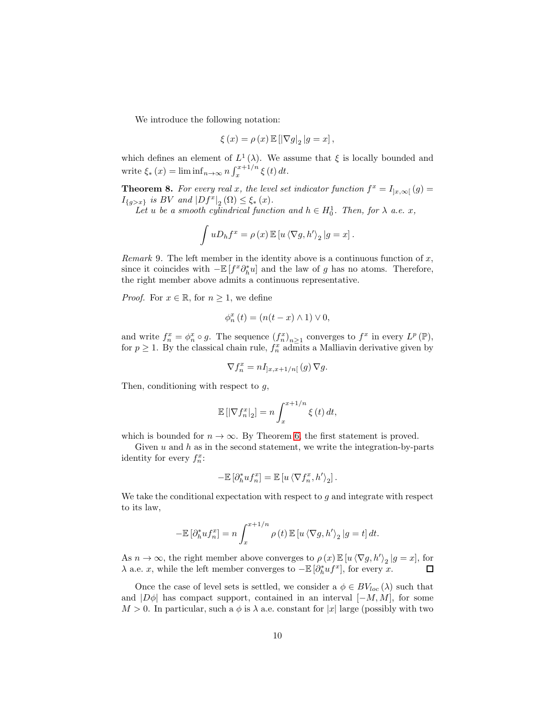We introduce the following notation:

$$
\xi \left( x\right) =\rho \left( x\right) \mathbb{E}\left[ \left\vert \nabla g\right\vert _{2}\left\vert g=x\right\vert ,
$$

which defines an element of  $L^1(\lambda)$ . We assume that  $\xi$  is locally bounded and write  $\xi_*(x) = \liminf_{n \to \infty} n \int_x^{x+1/n} \xi(t) dt$ .

<span id="page-9-0"></span>**Theorem 8.** *For every real x, the level set indicator function*  $f^x = I_{]x,\infty[} (g) =$  $I_{\{g > x\}}$  *is BV and*  $|Df^x|_2(\Omega) \leq \xi_*(x)$ *.* 

Let *u* be a smooth cylindrical function and  $h \in H_0^1$ . Then, for  $\lambda$  a.e. x,

$$
\int uD_hf^x = \rho(x) \mathbb{E}[u \langle \nabla g, h' \rangle_2 | g = x].
$$

*Remark* 9*.* The left member in the identity above is a continuous function of x, since it coincides with  $-\mathbb{E}[f^x \partial_h^* u]$  and the law of g has no atoms. Therefore, the right member above admits a continuous representative.

*Proof.* For  $x \in \mathbb{R}$ , for  $n \geq 1$ , we define

$$
\phi_n^x(t) = (n(t - x) \wedge 1) \vee 0,
$$

and write  $f_n^x = \phi_n^x \circ g$ . The sequence  $(f_n^x)_{n \geq 1}$  converges to  $f^x$  in every  $L^p(\mathbb{P})$ , for  $p \geq 1$ . By the classical chain rule,  $f_n^x$  admits a Malliavin derivative given by

$$
\nabla f_n^x = n I_{]x,x+1/n[} (g) \nabla g.
$$

Then, conditioning with respect to  $q$ ,

$$
\mathbb{E}\left[\left|\nabla f_n^x\right|_2\right] = n \int_x^{x+1/n} \xi(t) dt,
$$

which is bounded for  $n \to \infty$ . By Theorem [6,](#page-7-0) the first statement is proved.

Given  $u$  and  $h$  as in the second statement, we write the integration-by-parts identity for every  $f_n^x$ :

$$
-\mathbb{E}\left[\partial_h^* u f_n^x\right]=\mathbb{E}\left[u\left\langle \nabla f_n^x,h'\right\rangle_2\right].
$$

We take the conditional expectation with respect to  $q$  and integrate with respect to its law,

$$
-\mathbb{E}\left[\partial_h^* u f_n^x\right] = n \int_x^{x+1/n} \rho(t) \mathbb{E}\left[u\left\langle \nabla g, h'\right\rangle_2 \left|g=t\right.\right] dt.
$$

As  $n \to \infty$ , the right member above converges to  $\rho(x) \mathbb{E}[u \langle \nabla g, h' \rangle_2 | g = x]$ , for  $\lambda$  a.e. x, while the left member converges to  $-\mathbb{E} \left[ \partial_h^* u f^x \right]$ , for every x.

Once the case of level sets is settled, we consider a  $\phi \in BV_{loc}(\lambda)$  such that and  $|D\phi|$  has compact support, contained in an interval  $[-M, M]$ , for some  $M > 0$ . In particular, such a  $\phi$  is  $\lambda$  a.e. constant for |x| large (possibly with two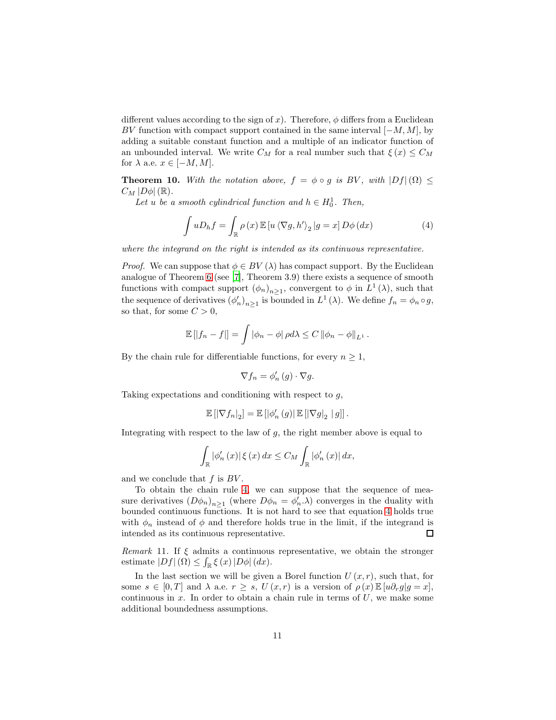different values according to the sign of x). Therefore,  $\phi$  differs from a Euclidean BV function with compact support contained in the same interval  $[-M, M]$ , by adding a suitable constant function and a multiple of an indicator function of an unbounded interval. We write  $C_M$  for a real number such that  $\xi(x) \leq C_M$ for  $\lambda$  a.e.  $x \in [-M, M]$ .

<span id="page-10-0"></span>**Theorem 10.** With the notation above,  $f = \phi \circ g$  is BV, with  $|Df|(\Omega) \le$  $C_M$   $|D\phi|$  (R).

Let *u* be a smooth cylindrical function and  $h \in H_0^1$ . Then,

<span id="page-10-1"></span>
$$
\int uD_h f = \int_{\mathbb{R}} \rho(x) \mathbb{E} \left[ u \left\langle \nabla g, h' \right\rangle_2 \middle| g = x \right] D\phi(dx)
$$
\n(4)

*where the integrand on the right is intended as its continuous representative.*

*Proof.* We can suppose that  $\phi \in BV(\lambda)$  has compact support. By the Euclidean analogue of Theorem [6](#page-7-0) (see [\[7](#page-19-5)], Theorem 3.9) there exists a sequence of smooth functions with compact support  $(\phi_n)_{n\geq 1}$ , convergent to  $\phi$  in  $L^1(\lambda)$ , such that the sequence of derivatives  $(\phi'_n)_{n\geq 1}$  is bounded in  $L^1(\lambda)$ . We define  $f_n = \phi_n \circ g$ , so that, for some  $C > 0$ ,

$$
\mathbb{E} [ |f_n - f| ] = \int |\phi_n - \phi| \, \rho d\lambda \leq C \, ||\phi_n - \phi||_{L^1} \, .
$$

By the chain rule for differentiable functions, for every  $n \geq 1$ ,

$$
\nabla f_n = \phi'_n(g) \cdot \nabla g.
$$

Taking expectations and conditioning with respect to g,

$$
\mathbb{E}\left[\left|\nabla f_n\right|_2\right]=\mathbb{E}\left[\left|\phi_n'\left(g\right)\right|\mathbb{E}\left[\left|\nabla g\right|_2\bigm|g\right]\right].
$$

Integrating with respect to the law of  $g$ , the right member above is equal to

$$
\int_{\mathbb{R}} |\phi'_{n}(x)| \xi(x) dx \leq C_{M} \int_{\mathbb{R}} |\phi'_{n}(x)| dx,
$$

and we conclude that  $f$  is  $BV$ .

To obtain the chain rule [4,](#page-10-1) we can suppose that the sequence of measure derivatives  $(D\phi_n)_{n\geq 1}$  (where  $D\phi_n = \phi'_n \cdot \lambda$ ) converges in the duality with bounded continuous functions. It is not hard to see that equation [4](#page-10-1) holds true with  $\phi_n$  instead of  $\phi$  and therefore holds true in the limit, if the integrand is intended as its continuous representative. 口

*Remark* 11*.* If ξ admits a continuous representative, we obtain the stronger estimate  $|Df|(\Omega) \leq \int_{\mathbb{R}} \xi(x) |D\phi| (dx)$ .

In the last section we will be given a Borel function  $U(x, r)$ , such that, for some  $s \in [0, T]$  and  $\lambda$  a.e.  $r \geq s$ ,  $U(x, r)$  is a version of  $\rho(x) \mathbb{E}[u \partial_r g | g = x]$ , continuous in  $x$ . In order to obtain a chain rule in terms of  $U$ , we make some additional boundedness assumptions.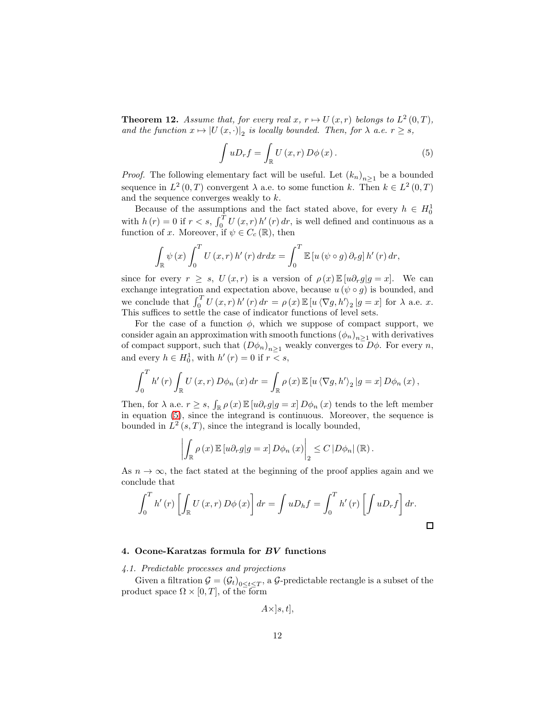<span id="page-11-2"></span>**Theorem 12.** Assume that, for every real  $x, r \mapsto U(x,r)$  belongs to  $L^2(0,T)$ , *and the function*  $x \mapsto |U(x, \cdot)|_2$  *is locally bounded. Then, for*  $\lambda$  *a.e.*  $r \geq s$ *,* 

<span id="page-11-1"></span>
$$
\int uD_{r}f = \int_{\mathbb{R}} U(x,r) D\phi(x).
$$
 (5)

*Proof.* The following elementary fact will be useful. Let  $(k_n)_{n\geq 1}$  be a bounded sequence in  $L^2(0,T)$  convergent  $\lambda$  a.e. to some function k. Then  $k \in L^2(0,T)$ and the sequence converges weakly to k.

Because of the assumptions and the fact stated above, for every  $h \in H_0^1$ with  $h(r) = 0$  if  $r < s$ ,  $\int_0^T U(x, r) h'(r) dr$ , is well defined and continuous as a function of x. Moreover, if  $\psi \in C_c(\mathbb{R})$ , then

$$
\int_{\mathbb{R}} \psi(x) \int_0^T U(x, r) h'(r) dr dx = \int_0^T \mathbb{E} \left[ u \left( \psi \circ g \right) \partial_r g \right] h'(r) dr,
$$

since for every  $r \geq s$ ,  $U(x,r)$  is a version of  $\rho(x) \mathbb{E}[u \partial_r g | g = x]$ . We can exchange integration and expectation above, because  $u\left(\psi\circ g\right)$  is bounded, and we conclude that  $\int_0^T U(x, r) h'(r) dr = \rho(x) \mathbb{E}[u \langle \nabla g, h' \rangle_2 | g = x]$  for  $\lambda$  a.e. x. This suffices to settle the case of indicator functions of level sets.

For the case of a function  $\phi$ , which we suppose of compact support, we consider again an approximation with smooth functions  $(\phi_n)_{n\geq 1}$  with derivatives of compact support, such that  $(D\phi_n)_{n>1}$  weakly converges to  $D\phi$ . For every n, and every  $h \in H_0^1$ , with  $h'(r) = 0$  if  $r < s$ ,

$$
\int_0^T h'(r) \int_{\mathbb{R}} U(x,r) D\phi_n(x) dr = \int_{\mathbb{R}} \rho(x) \mathbb{E}[u \langle \nabla g, h' \rangle_2 | g = x] D\phi_n(x),
$$

Then, for  $\lambda$  a.e.  $r \geq s$ ,  $\int_{\mathbb{R}} \rho(x) \mathbb{E}[u \partial_r g] g = x \, D\phi_n(x)$  tends to the left member in equation [\(5\)](#page-11-1), since the integrand is continuous. Moreover, the sequence is bounded in  $L^2(s,T)$ , since the integrand is locally bounded,

$$
\left| \int_{\mathbb{R}} \rho(x) \mathbb{E} \left[ u \partial_r g \middle| g = x \right] D \phi_n(x) \right|_2 \leq C \left| D \phi_n \right|(\mathbb{R}).
$$

As  $n \to \infty$ , the fact stated at the beginning of the proof applies again and we conclude that

$$
\int_0^T h'(r) \left[ \int_{\mathbb{R}} U(x, r) D\phi(x) \right] dr = \int uD_h f = \int_0^T h'(r) \left[ \int uD_r f \right] dr.
$$

#### <span id="page-11-0"></span>4. Ocone-Karatzas formula for BV functions

*4.1. Predictable processes and projections*

Given a filtration  $\mathcal{G} = (\mathcal{G}_t)_{0 \le t \le T}$ , a  $\mathcal{G}$ -predictable rectangle is a subset of the product space  $\Omega \times [0, T]$ , of the form

$$
A\times ]s,t],
$$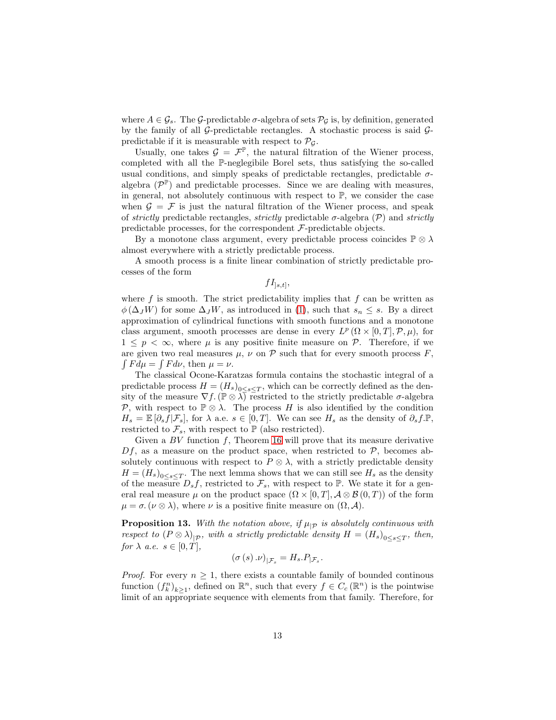where  $A \in \mathcal{G}_s$ . The  $\mathcal{G}_s$ -predictable  $\sigma$ -algebra of sets  $\mathcal{P}_\mathcal{G}$  is, by definition, generated by the family of all  $G$ -predictable rectangles. A stochastic process is said  $G$ predictable if it is measurable with respect to  $\mathcal{P}_{G}$ .

Usually, one takes  $\mathcal{G} = \mathcal{F}^{\mathbb{P}}$ , the natural filtration of the Wiener process, completed with all the P-neglegibile Borel sets, thus satisfying the so-called usual conditions, and simply speaks of predictable rectangles, predictable  $\sigma$ algebra  $(\mathcal{P}^{\mathbb{P}})$  and predictable processes. Since we are dealing with measures, in general, not absolutely continuous with respect to  $\mathbb{P}$ , we consider the case when  $\mathcal{G} = \mathcal{F}$  is just the natural filtration of the Wiener process, and speak of *strictly* predictable rectangles, *strictly* predictable σ-algebra (P) and *strictly* predictable processes, for the correspondent  $\mathcal{F}\text{-predictable objects.}$ 

By a monotone class argument, every predictable process coincides  $\mathbb{P} \otimes \lambda$ almost everywhere with a strictly predictable process.

A smooth process is a finite linear combination of strictly predictable processes of the form

 $fI_{]s,t]},$ 

where  $f$  is smooth. The strict predictability implies that  $f$  can be written as  $\phi(\Delta_J W)$  for some  $\Delta_J W$ , as introduced in [\(1\)](#page-2-1), such that  $s_n \leq s$ . By a direct approximation of cylindrical functions with smooth functions and a monotone class argument, smooth processes are dense in every  $L^p(\Omega \times [0,T], \mathcal{P}, \mu)$ , for  $1 \leq p \leq \infty$ , where  $\mu$  is any positive finite measure on P. Therefore, if we are given two real measures  $\mu$ ,  $\nu$  on  $\mathcal P$  such that for every smooth process F,  $\int F d\mu = \int F d\nu$ , then  $\mu = \nu$ .

The classical Ocone-Karatzas formula contains the stochastic integral of a predictable process  $H = (H_s)_{0 \leq s \leq T}$ , which can be correctly defined as the density of the measure  $\nabla f$ . ( $\mathbb{P} \otimes \lambda$ ) restricted to the strictly predictable  $\sigma$ -algebra P, with respect to  $\mathbb{P}\otimes\lambda$ . The process H is also identified by the condition  $H_s = \mathbb{E}[\partial_s f|\mathcal{F}_s],$  for  $\lambda$  a.e.  $s \in [0, T]$ . We can see  $H_s$  as the density of  $\partial_s f \mathbb{P},$ restricted to  $\mathcal{F}_s$ , with respect to  $\mathbb P$  (also restricted).

Given a  $BV$  function  $f$ , Theorem [16](#page-13-0) will prove that its measure derivative  $Df$ , as a measure on the product space, when restricted to  $\mathcal{P}$ , becomes absolutely continuous with respect to  $P \otimes \lambda$ , with a strictly predictable density  $H = (H_s)_{0 \le s \le T}$ . The next lemma shows that we can still see  $H_s$  as the density of the measure  $D_s f$ , restricted to  $\mathcal{F}_s$ , with respect to  $\mathbb{P}$ . We state it for a general real measure  $\mu$  on the product space  $(\Omega \times [0, T], \mathcal{A} \otimes \mathcal{B}(0, T))$  of the form  $\mu = \sigma$ . ( $\nu \otimes \lambda$ ), where  $\nu$  is a positive finite measure on  $(\Omega, \mathcal{A})$ .

<span id="page-12-0"></span>**Proposition 13.** With the notation above, if  $\mu_{\mathcal{P}}$  is absolutely continuous with *respect to*  $(P \otimes \lambda)_{|P}$ *, with a strictly predictable density*  $H = (H_s)_{0 \leq s \leq T}$ *, then, for*  $\lambda$  *a.e.*  $s \in [0, T]$ *,* 

$$
\left(\sigma\left(s\right).\nu\right)_{|\mathcal{F}_s}=H_s.P_{|\mathcal{F}_s}.
$$

*Proof.* For every  $n \geq 1$ , there exists a countable family of bounded continous function  $(f_k^n)_{k\geq 1}$ , defined on  $\mathbb{R}^n$ , such that every  $f \in C_c(\mathbb{R}^n)$  is the pointwise limit of an appropriate sequence with elements from that family. Therefore, for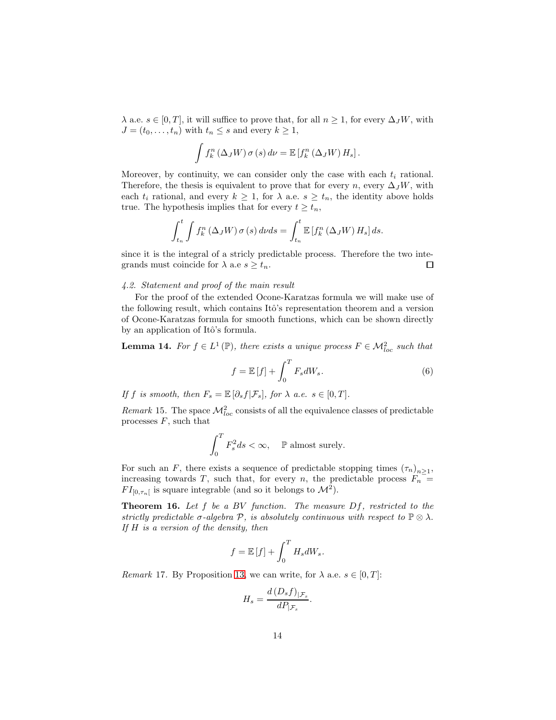$\lambda$  a.e.  $s \in [0, T]$ , it will suffice to prove that, for all  $n \geq 1$ , for every  $\Delta_J W$ , with  $J = (t_0, \ldots, t_n)$  with  $t_n \leq s$  and every  $k \geq 1$ ,

$$
\int f_k^n \left( \Delta_J W \right) \sigma \left( s \right) d\nu = \mathbb{E} \left[ f_k^n \left( \Delta_J W \right) H_s \right].
$$

Moreover, by continuity, we can consider only the case with each  $t_i$  rational. Therefore, the thesis is equivalent to prove that for every n, every  $\Delta_J W$ , with each  $t_i$  rational, and every  $k \geq 1$ , for  $\lambda$  a.e.  $s \geq t_n$ , the identity above holds true. The hypothesis implies that for every  $t \geq t_n$ ,

$$
\int_{t_n}^t \int f_k^n \left( \Delta_J W \right) \sigma \left( s \right) d\nu ds = \int_{t_n}^t \mathbb{E} \left[ f_k^n \left( \Delta_J W \right) H_s \right] ds.
$$

since it is the integral of a stricly predictable process. Therefore the two integrands must coincide for  $\lambda$  a.e  $s \geq t_n$ .  $\Box$ 

## *4.2. Statement and proof of the main result*

For the proof of the extended Ocone-Karatzas formula we will make use of the following result, which contains Itô's representation theorem and a version of Ocone-Karatzas formula for smooth functions, which can be shown directly by an application of Itô's formula.

**Lemma 14.** For  $f \in L^1(\mathbb{P})$ , there exists a unique process  $F \in \mathcal{M}_{loc}^2$  such that

<span id="page-13-1"></span>
$$
f = \mathbb{E}[f] + \int_0^T F_s dW_s.
$$
 (6)

*If* f *is smooth, then*  $F_s = \mathbb{E}[\partial_s f | \mathcal{F}_s]$ *, for*  $\lambda$  *a.e.*  $s \in [0, T]$ *.* 

*Remark* 15. The space  $\mathcal{M}_{loc}^2$  consists of all the equivalence classes of predictable processes  $F$ , such that

$$
\int_0^T F_s^2 ds < \infty, \quad \mathbb{P} \text{ almost surely.}
$$

For such an F, there exists a sequence of predictable stopping times  $(\tau_n)_{n\geq 1}$ , increasing towards T, such that, for every n, the predictable process  $F_n$  =  $FI_{[0,\tau_n[}$  is square integrable (and so it belongs to  $\mathcal{M}^2$ ).

<span id="page-13-0"></span>Theorem 16. *Let* f *be a* BV *function. The measure* Df*, restricted to the strictly predictable*  $\sigma$ -algebra  $\mathcal{P}$ , *is absolutely continuous with respect to*  $\mathbb{P} \otimes \lambda$ *. If* H *is a version of the density, then*

$$
f = \mathbb{E}[f] + \int_0^T H_s dW_s.
$$

<span id="page-13-2"></span>*Remark* 17. By Proposition [13,](#page-12-0) we can write, for  $\lambda$  a.e.  $s \in [0, T]$ :

$$
H_s = \frac{d(D_s f)_{|\mathcal{F}_s}}{dP_{|\mathcal{F}_s}}.
$$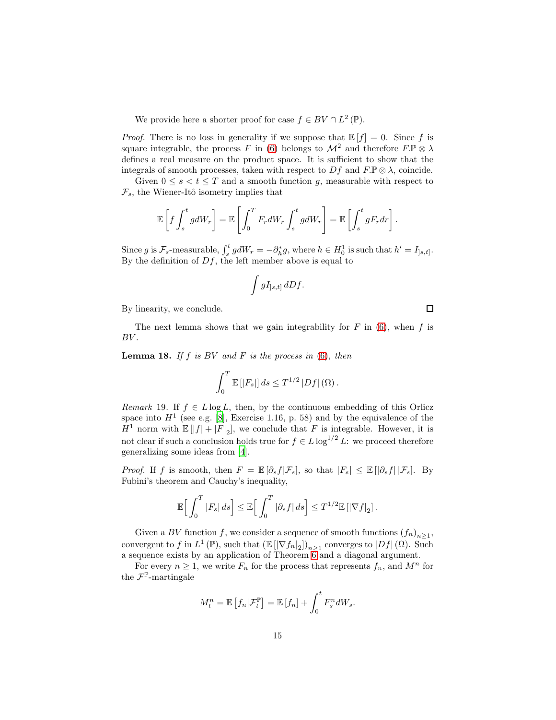We provide here a shorter proof for case  $f \in BV \cap L^2(\mathbb{P})$ .

*Proof.* There is no loss in generality if we suppose that  $\mathbb{E}[f] = 0$ . Since f is square integrable, the process F in [\(6\)](#page-13-1) belongs to  $\mathcal{M}^2$  and therefore  $F.\mathbb{P}\otimes \lambda$ defines a real measure on the product space. It is sufficient to show that the integrals of smooth processes, taken with respect to  $Df$  and  $F.\mathbb{P}\otimes\lambda$ , coincide.

Given  $0 \leq s < t \leq T$  and a smooth function g, measurable with respect to  $\mathcal{F}_s$ , the Wiener-Itô isometry implies that

$$
\mathbb{E}\left[f\int_s^t g dW_r\right] = \mathbb{E}\left[\int_0^T F_r dW_r \int_s^t g dW_r\right] = \mathbb{E}\left[\int_s^t g F_r dr\right].
$$

Since g is  $\mathcal{F}_s$ -measurable,  $\int_s^t g dW_r = -\partial_h^* g$ , where  $h \in H_0^1$  is such that  $h' = I_{]s,t]}$ . By the definition of  $Df$ , the left member above is equal to

$$
\int gI_{]s,t]} dDf.
$$

By linearity, we conclude.

The next lemma shows that we gain integrability for  $F$  in [\(6\)](#page-13-1), when  $f$  is  $BV.$ 

Lemma 18. *If* f *is* BV *and* F *is the process in* [\(6\)](#page-13-1)*, then*

$$
\int_0^T \mathbb{E} \left[ |F_s| \right] ds \leq T^{1/2} |Df| \left( \Omega \right).
$$

*Remark* 19. If  $f \in L \log L$ , then, by the continuous embedding of this Orlicz space into  $H<sup>1</sup>$  (see e.g. [\[8](#page-19-6)], Exercise 1.16, p. 58) and by the equivalence of the  $H^1$  norm with  $\mathbb{E}[|f| + |F|_2]$ , we conclude that F is integrable. However, it is not clear if such a conclusion holds true for  $f \in L \log^{1/2} L$ : we proceed therefore generalizing some ideas from [\[4\]](#page-19-3).

*Proof.* If f is smooth, then  $F = \mathbb{E}[\partial_s f | \mathcal{F}_s]$ , so that  $|F_s| \leq \mathbb{E}[\partial_s f | \mathcal{F}_s]$ . By Fubini's theorem and Cauchy's inequality,

$$
\mathbb{E}\Big[\int_0^T |F_s| \, ds\Big] \leq \mathbb{E}\Big[\int_0^T |\partial_s f| \, ds\Big] \leq T^{1/2} \mathbb{E}\left[|\nabla f|_2\right].
$$

Given a BV function f, we consider a sequence of smooth functions  $(f_n)_{n \geq 1}$ , convergent to f in  $L^1(\mathbb{P})$ , such that  $\left(\mathbb{E} [|\nabla f_n|_2]\right)_{n\geq 1}$  converges to  $|Df|(\Omega)$ . Such a sequence exists by an application of Theorem  $6$  and a diagonal argument.

For every  $n \geq 1$ , we write  $F_n$  for the process that represents  $f_n$ , and  $M^n$  for the  $\mathcal{F}^{\mathbb{P}}$ -martingale

$$
M_t^n = \mathbb{E}\left[f_n|\mathcal{F}_t^{\mathbb{P}}\right] = \mathbb{E}\left[f_n\right] + \int_0^t F_s^n dW_s.
$$

 $\Box$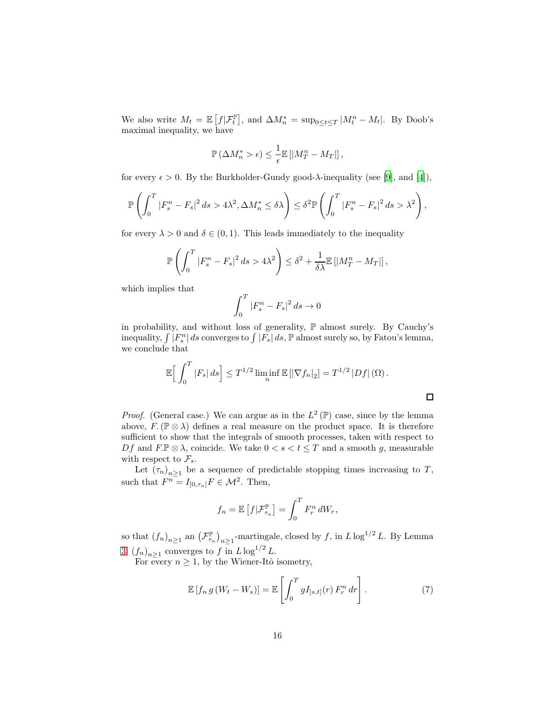We also write  $M_t = \mathbb{E}\left[f|\mathcal{F}_t^{\mathbb{P}}\right],$  and  $\Delta M_n^* = \sup_{0 \le t \le T} |M_t^n - M_t|$ . By Doob's maximal inequality, we have

$$
\mathbb{P}\left(\Delta M_n^* > \epsilon\right) \leq \frac{1}{\epsilon} \mathbb{E}\left[\left|M_T^n - M_T\right|\right],
$$

for every  $\epsilon > 0$ . By the Burkholder-Gundy good- $\lambda$ -inequality (see [\[9](#page-19-7)], and [\[4](#page-19-3)]),

$$
\mathbb{P}\left(\int_0^T |F_s^n - F_s|^2 ds > 4\lambda^2, \Delta M_n^* \le \delta \lambda\right) \le \delta^2 \mathbb{P}\left(\int_0^T |F_s^n - F_s|^2 ds > \lambda^2\right),
$$

for every  $\lambda > 0$  and  $\delta \in (0, 1)$ . This leads immediately to the inequality

$$
\mathbb{P}\left(\int_0^T \left|F_s^n - F_s\right|^2 ds > 4\lambda^2\right) \leq \delta^2 + \frac{1}{\delta\lambda} \mathbb{E}\left[\left|M_T^n - M_T\right|\right],
$$

which implies that

$$
\int_0^T |F_s^n - F_s|^2 \, ds \to 0
$$

in probability, and without loss of generality, P almost surely. By Cauchy's inequality,  $\int |F_s^n| ds$  converges to  $\int |F_s| ds$ ,  $\mathbb P$  almost surely so, by Fatou's lemma, we conclude that

$$
\mathbb{E}\Big[\int_0^T |F_s| \, ds\Big] \leq T^{1/2} \liminf_n \mathbb{E}\left[|\nabla f_n|_2\right] = T^{1/2} |Df| \left(\Omega\right).
$$

 $\Box$ 

*Proof.* (General case.) We can argue as in the  $L^2(\mathbb{P})$  case, since by the lemma above,  $F.(\mathbb{P}\otimes\lambda)$  defines a real measure on the product space. It is therefore sufficient to show that the integrals of smooth processes, taken with respect to Df and  $F.\mathbb{P}\otimes\lambda$ , coincide. We take  $0 < s < t \leq T$  and a smooth g, measurable with respect to  $\mathcal{F}_s$ .

Let  $(\tau_n)_{n\geq 1}$  be a sequence of predictable stopping times increasing to T, such that  $F^{n} = I_{[0,\tau_n[}F \in \mathcal{M}^2$ . Then,

$$
f_n = \mathbb{E}\left[f|\mathcal{F}_{\tau_n}^{\mathbb{P}}\right] = \int_0^T F_r^n dW_r,
$$

so that  $(f_n)_{n\geq 1}$  an  $(\mathcal{F}_{\tau_n}^{\mathbb{P}})_{n\geq 1}$ -martingale, closed by f, in  $L \log^{1/2} L$ . By Lemma [3,](#page-5-0)  $(f_n)_{n\geq 1}$  converges to f in  $L \log^{1/2} L$ .

For every  $n \geq 1$ , by the Wiener-Itô isometry,

<span id="page-15-0"></span>
$$
\mathbb{E}\left[f_{n} g\left(W_{t}-W_{s}\right)\right]=\mathbb{E}\left[\int_{0}^{T} g I_{]s,t]}(r) F_{r}^{n} dr\right].
$$
\n(7)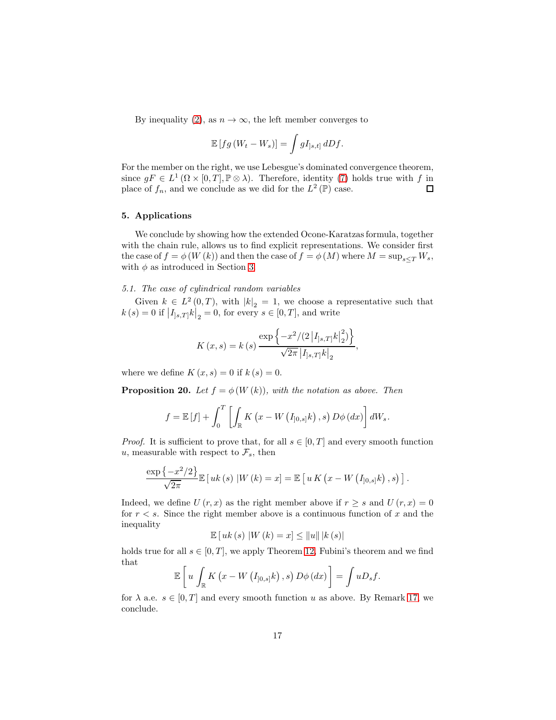By inequality [\(2\)](#page-4-1), as  $n \to \infty$ , the left member converges to

$$
\mathbb{E}\left[fg\left(W_t-W_s\right)\right]=\int gI_{]s,t]} dDf.
$$

For the member on the right, we use Lebesgue's dominated convergence theorem, since  $gF \in L^1(\Omega \times [0,T], \mathbb{P} \otimes \lambda)$ . Therefore, identity [\(7\)](#page-15-0) holds true with f in place of  $f_n$ , and we conclude as we did for the  $L^2(\mathbb{P})$  case.

#### <span id="page-16-1"></span>5. Applications

We conclude by showing how the extended Ocone-Karatzas formula, together with the chain rule, allows us to find explicit representations. We consider first the case of  $f = \phi(W(k))$  and then the case of  $f = \phi(M)$  where  $M = \sup_{s \leq T} W_s$ , with  $\phi$  as introduced in Section [3.](#page-7-1)

#### *5.1. The case of cylindrical random variables*

Given  $k \in L^2(0,T)$ , with  $|k|_2 = 1$ , we choose a representative such that  $k(s) = 0$  if  $|I_{]s,T]}k|_2 = 0$ , for every  $s \in [0,T]$ , and write

$$
K(x,s) = k(s) \frac{\exp \left\{-x^2/(2 |I_{s,T}|k|_2^2)\right\}}{\sqrt{2\pi |I_{s,T}|k|_2}}
$$

,

where we define  $K(x, s) = 0$  if  $k(s) = 0$ .

<span id="page-16-0"></span>**Proposition 20.** *Let*  $f = \phi(W(k))$ *, with the notation as above. Then* 

$$
f = \mathbb{E}[f] + \int_0^T \left[ \int_{\mathbb{R}} K(x - W(I_{]0,s]}k), s) D\phi(dx) \right] dW_s.
$$

*Proof.* It is sufficient to prove that, for all  $s \in [0, T]$  and every smooth function u, measurable with respect to  $\mathcal{F}_s$ , then

$$
\frac{\exp\left\{-x^2/2\right\}}{\sqrt{2\pi}}\mathbb{E}\left[uk\left(s\right)|W\left(k\right)=x\right]=\mathbb{E}\left[u\,K\left(x-W\left(I_{]0,s]}k\right),s\right)\right].
$$

Indeed, we define U  $(r, x)$  as the right member above if  $r \geq s$  and  $U(r, x) = 0$ for  $r < s$ . Since the right member above is a continuous function of x and the inequality

$$
\mathbb{E}[uk(s) | W(k) = x] \le ||u|| |k(s)|
$$

holds true for all  $s \in [0, T]$ , we apply Theorem [12,](#page-11-2) Fubini's theorem and we find that

$$
\mathbb{E}\left[u\int_{\mathbb{R}} K\left(x - W\left(I_{]0,s]}k\right),s\right) D\phi\left(dx\right)\right] = \int uD_s f.
$$

for  $\lambda$  a.e.  $s \in [0, T]$  and every smooth function u as above. By Remark [17,](#page-13-2) we conclude.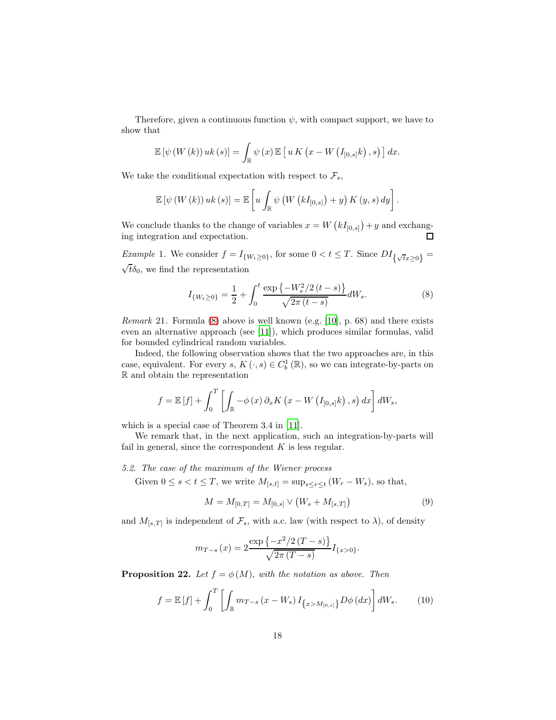Therefore, given a continuous function  $\psi$ , with compact support, we have to show that

$$
\mathbb{E}\left[\psi\left(W\left(k\right)\right)uk\left(s\right)\right]=\int_{\mathbb{R}}\psi\left(x\right)\mathbb{E}\left[u\,K\left(x-W\left(I_{]0,s]}k\right),s\right)\right]dx.
$$

We take the conditional expectation with respect to  $\mathcal{F}_s$ ,

$$
\mathbb{E}\left[\psi\left(W\left(k\right)\right)uk\left(s\right)\right]=\mathbb{E}\left[u\int_{\mathbb{R}}\psi\left(W\left(kI_{]0,s]}\right)+y\right)K\left(y,s\right)dy\right].
$$

We conclude thanks to the change of variables  $x = W(kI_{[0,s]}) + y$  and exchanging integration and expectation.  $\Box$ 

*Example* 1. We consider  $f = I_{\{W_t \ge 0\}}$ , for some  $0 < t \le T$ . Since  $DI_{\{\sqrt{t}x \ge 0\}} =$  $\sqrt{t}\delta_0$ , we find the representation

<span id="page-17-1"></span>
$$
I_{\{W_t \ge 0\}} = \frac{1}{2} + \int_0^t \frac{\exp\left\{-W_s^2/2\left(t-s\right)\right\}}{\sqrt{2\pi\left(t-s\right)}} dW_s. \tag{8}
$$

*Remark* 21*.* Formula [\(8\)](#page-17-1) above is well known (e.g. [\[10\]](#page-19-8), p. 68) and there exists even an alternative approach (see [11]), which produces similar formulas, valid for bounded cylindrical random variables.

Indeed, the following observation shows that the two approaches are, in this case, equivalent. For every  $s, K(\cdot, s) \in C_b^1(\mathbb{R})$ , so we can integrate-by-parts on R and obtain the representation

$$
f = \mathbb{E}[f] + \int_0^T \left[ \int_{\mathbb{R}} -\phi(x) \, \partial_x K(x - W(I_{]0,s]}k), s \right) dx \, dW_s,
$$

which is a special case of Theorem 3.4 in [11].

We remark that, in the next application, such an integration-by-parts will fail in general, since the correspondent  $K$  is less regular.

#### *5.2. The case of the maximum of the Wiener process*

Given  $0 \leq s < t \leq T$ , we write  $M_{[s,t]} = \sup_{s \leq r \leq t} (W_r - W_s)$ , so that,

<span id="page-17-2"></span>
$$
M = M_{[0,T]} = M_{[0,s]} \vee (W_s + M_{[s,T]})
$$
\n(9)

and  $M_{[s,T]}$  is independent of  $\mathcal{F}_s$ , with a.c. law (with respect to  $\lambda$ ), of density

$$
m_{T-s}(x) = 2 \frac{\exp \{-x^2/2 (T-s)\}}{\sqrt{2\pi (T-s)}} I_{\{x>0\}}.
$$

<span id="page-17-0"></span>**Proposition 22.** Let  $f = \phi(M)$ , with the notation as above. Then

$$
f = \mathbb{E}[f] + \int_0^T \left[ \int_{\mathbb{R}} m_{T-s} (x - W_s) I_{\{x > M_{[0,s]}\}} D\phi (dx) \right] dW_s.
$$
 (10)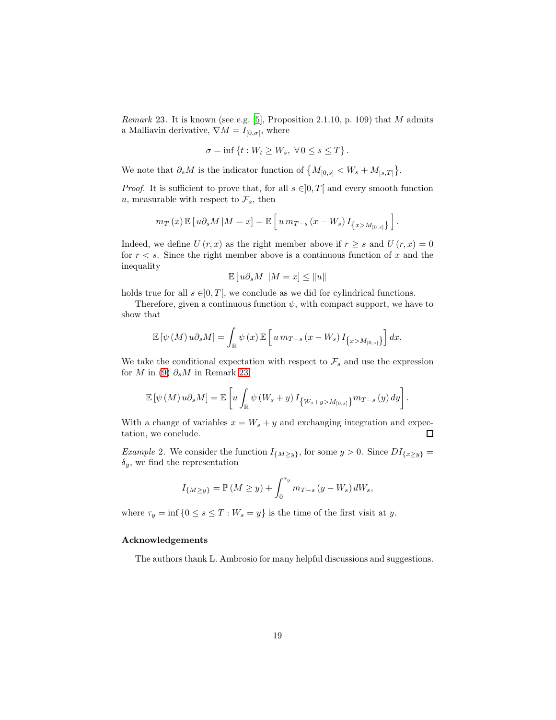<span id="page-18-0"></span>*Remark* 23*.* It is known (see e.g. [\[5](#page-19-4)], Proposition 2.1.10, p. 109) that M admits a Malliavin derivative,  $\nabla M = I_{[0,\sigma[}$ , where

$$
\sigma = \inf \left\{ t : W_t \ge W_s, \ \forall \, 0 \le s \le T \right\}.
$$

We note that  $\partial_s M$  is the indicator function of  $\{M_{[0,s]} < W_s + M_{[s,T]}\}.$ 

*Proof.* It is sufficient to prove that, for all  $s \in ]0, T]$  and every smooth function u, measurable with respect to  $\mathcal{F}_s$ , then

$$
m_T(x) \mathbb{E}[u\partial_s M | M = x] = \mathbb{E}\left[u m_{T-s} (x - W_s) I_{\{x > M_{[0,s]}\}}\right].
$$

Indeed, we define  $U(r, x)$  as the right member above if  $r \geq s$  and  $U(r, x) = 0$ for  $r < s$ . Since the right member above is a continuous function of x and the inequality

$$
\mathbb{E}\left[\, u \partial_s M \; \left| M = x \right.\right] \leq \left\| u \right\|
$$

holds true for all  $s \in ]0, T[$ , we conclude as we did for cylindrical functions.

Therefore, given a continuous function  $\psi$ , with compact support, we have to show that

$$
\mathbb{E}\left[\psi\left(M\right)u\partial_s M\right] = \int_{\mathbb{R}} \psi\left(x\right) \mathbb{E}\left[u\,m_{T-s}\left(x-W_s\right)I_{\left\{x>M_{[0,s]}\right\}}\right] dx.
$$

We take the conditional expectation with respect to  $\mathcal{F}_s$  and use the expression for M in [\(9\)](#page-17-2)  $\partial_s M$  in Remark [23,](#page-18-0)

$$
\mathbb{E}\left[\psi\left(M\right)u\partial_{s}M\right]=\mathbb{E}\left[u\int_{\mathbb{R}}\psi\left(W_{s}+y\right)I_{\left\{ W_{s}+y>M_{\left[0,s\right]}\right\} }m_{T-s}\left(y\right)dy\right].
$$

With a change of variables  $x = W_s + y$  and exchanging integration and expectation, we conclude.  $\Box$ 

*Example* 2. We consider the function  $I_{\{M\geq y\}}$ , for some  $y > 0$ . Since  $DI_{\{x\geq y\}} =$  $\delta_y$ , we find the representation

$$
I_{\{M \ge y\}} = \mathbb{P}(M \ge y) + \int_0^{\tau_y} m_{T-s} (y - W_s) dW_s,
$$

where  $\tau_y = \inf \{0 \le s \le T : W_s = y\}$  is the time of the first visit at y.

#### Acknowledgements

The authors thank L. Ambrosio for many helpful discussions and suggestions.